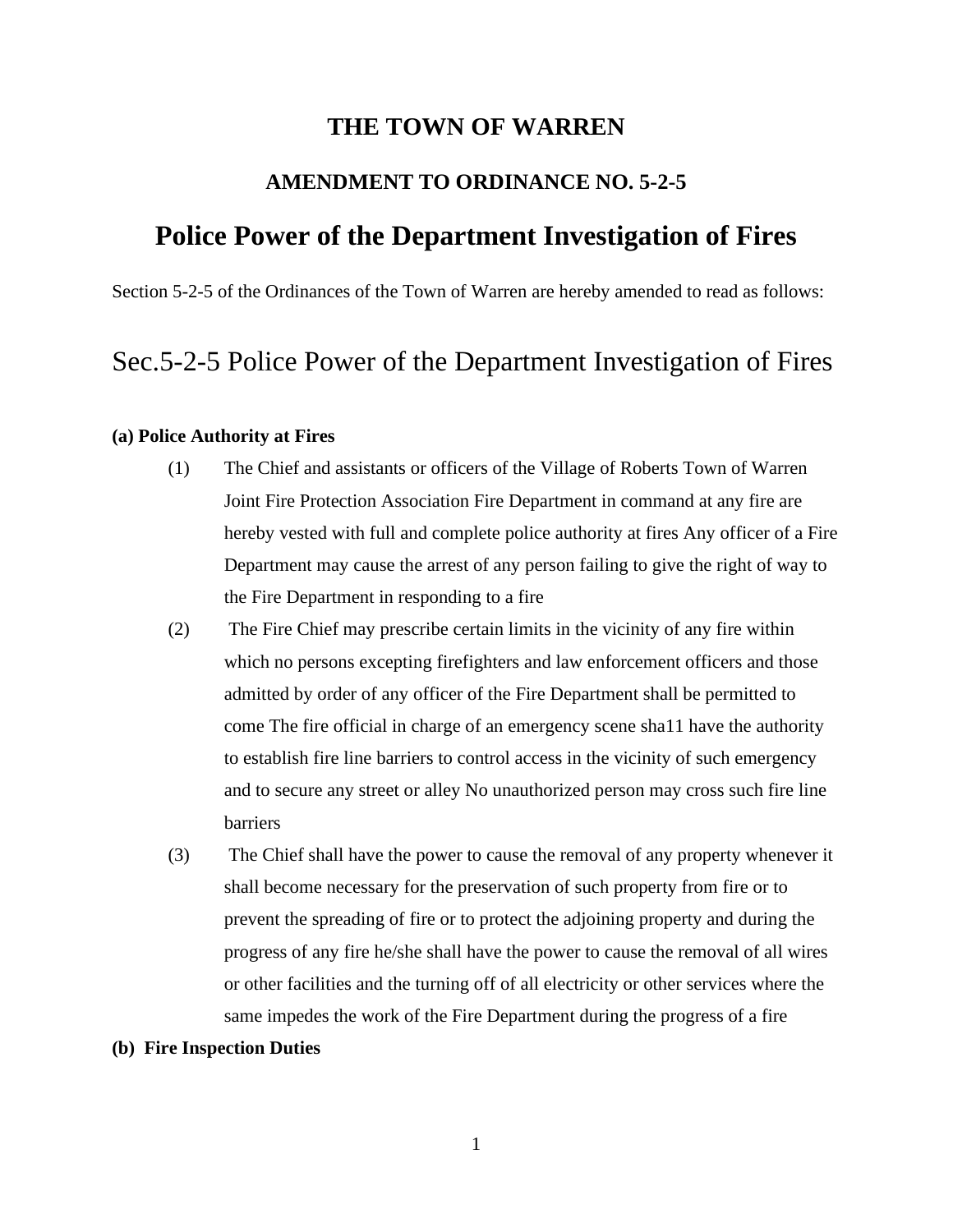## **THE TOWN OF WARREN**

### **AMENDMENT TO ORDINANCE NO. 5-2-5**

# **Police Power of the Department Investigation of Fires**

Section 5-2-5 of the Ordinances of the Town of Warren are hereby amended to read as follows:

# Sec.5-2-5 Police Power of the Department Investigation of Fires

#### **(a) Police Authority at Fires**

- (1) The Chief and assistants or officers of the Village of Roberts Town of Warren Joint Fire Protection Association Fire Department in command at any fire are hereby vested with full and complete police authority at fires Any officer of a Fire Department may cause the arrest of any person failing to give the right of way to the Fire Department in responding to a fire
- (2) The Fire Chief may prescribe certain limits in the vicinity of any fire within which no persons excepting firefighters and law enforcement officers and those admitted by order of any officer of the Fire Department shall be permitted to come The fire official in charge of an emergency scene sha11 have the authority to establish fire line barriers to control access in the vicinity of such emergency and to secure any street or alley No unauthorized person may cross such fire line barriers
- (3) The Chief shall have the power to cause the removal of any property whenever it shall become necessary for the preservation of such property from fire or to prevent the spreading of fire or to protect the adjoining property and during the progress of any fire he/she shall have the power to cause the removal of all wires or other facilities and the turning off of all electricity or other services where the same impedes the work of the Fire Department during the progress of a fire

#### **(b) Fire Inspection Duties**

1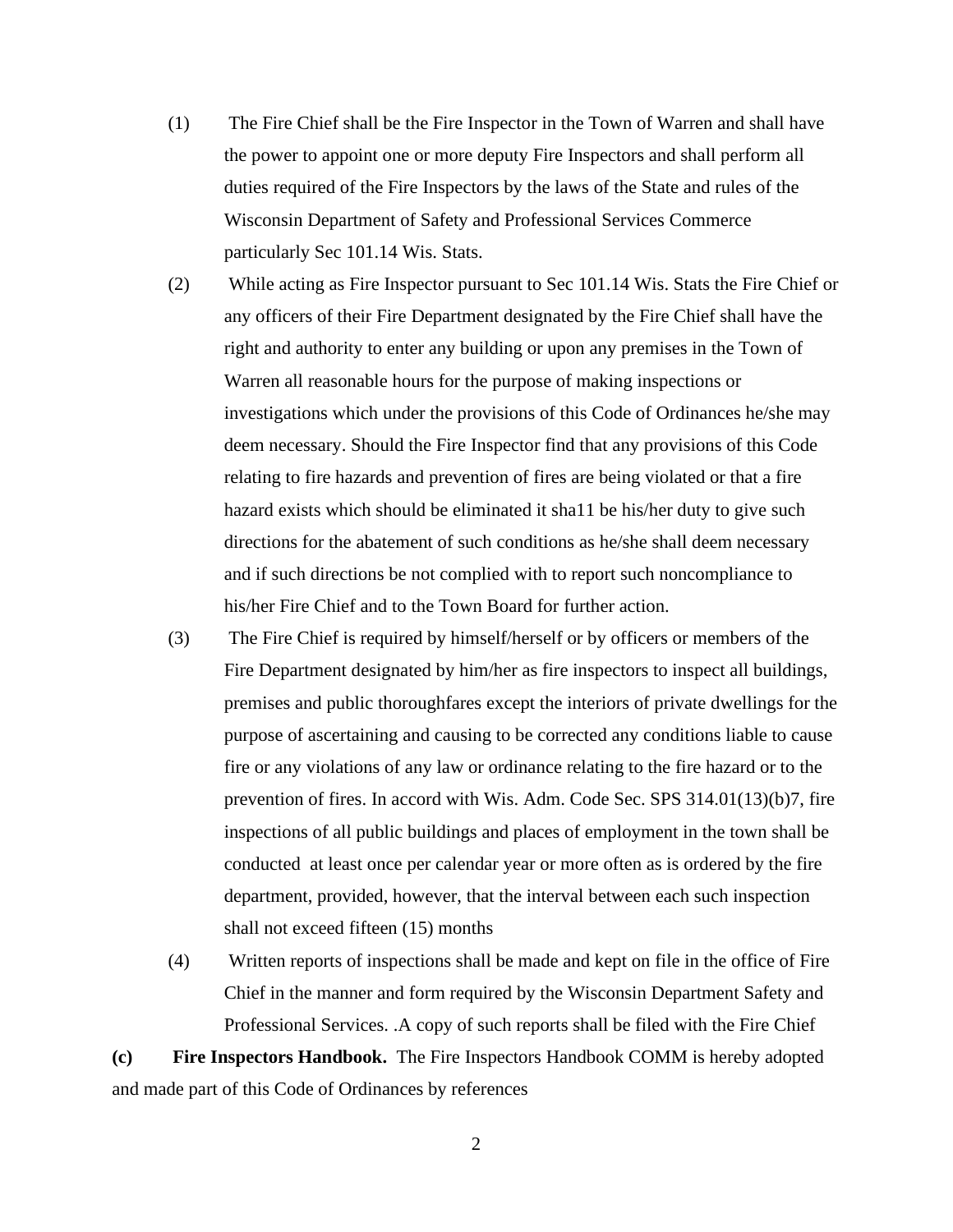(1) The Fire Chief shall be the Fire Inspector in the Town of Warren and shall have the power to appoint one or more deputy Fire Inspectors and shall perform all duties required of the Fire Inspectors by the laws of the State and rules of the Wisconsin Department of Safety and Professional Services Commerce particularly Sec 101.14 Wis. Stats.

(2) While acting as Fire Inspector pursuant to Sec 101.14 Wis. Stats the Fire Chief or any officers of their Fire Department designated by the Fire Chief shall have the right and authority to enter any building or upon any premises in the Town of Warren all reasonable hours for the purpose of making inspections or investigations which under the provisions of this Code of Ordinances he/she may deem necessary. Should the Fire Inspector find that any provisions of this Code relating to fire hazards and prevention of fires are being violated or that a fire hazard exists which should be eliminated it sha11 be his/her duty to give such directions for the abatement of such conditions as he/she shall deem necessary and if such directions be not complied with to report such noncompliance to his/her Fire Chief and to the Town Board for further action.

- (3) The Fire Chief is required by himself/herself or by officers or members of the Fire Department designated by him/her as fire inspectors to inspect all buildings, premises and public thoroughfares except the interiors of private dwellings for the purpose of ascertaining and causing to be corrected any conditions liable to cause fire or any violations of any law or ordinance relating to the fire hazard or to the prevention of fires. In accord with Wis. Adm. Code Sec. SPS 314.01(13)(b)7, fire inspections of all public buildings and places of employment in the town shall be conducted at least once per calendar year or more often as is ordered by the fire department, provided, however, that the interval between each such inspection shall not exceed fifteen (15) months
- (4) Written reports of inspections shall be made and kept on file in the office of Fire Chief in the manner and form required by the Wisconsin Department Safety and Professional Services. .A copy of such reports shall be filed with the Fire Chief

**(c) Fire Inspectors Handbook.** The Fire Inspectors Handbook COMM is hereby adopted and made part of this Code of Ordinances by references

2